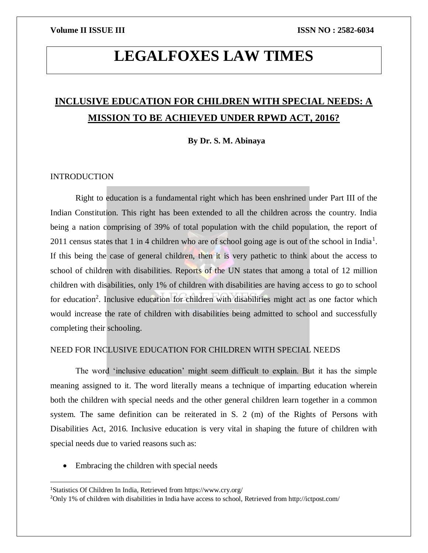# **LEGALFOXES LAW TIMES**

## **INCLUSIVE EDUCATION FOR CHILDREN WITH SPECIAL NEEDS: A MISSION TO BE ACHIEVED UNDER RPWD ACT, 2016?**

**By Dr. S. M. Abinaya**

### INTRODUCTION

 $\overline{\phantom{a}}$ 

Right to education is a fundamental right which has been enshrined under Part III of the Indian Constitution. This right has been extended to all the children across the country. India being a nation comprising of 39% of total population with the child population, the report of 2011 census states that 1 in 4 children who are of school going age is out of the school in India<sup>1</sup>. If this being the case of general children, then it is very pathetic to think about the access to school of children with disabilities. Reports of the UN states that among a total of 12 million children with disabilities, only 1% of children with disabilities are having access to go to school for education<sup>2</sup>. Inclusive education for children with disabilities might act as one factor which would increase the rate of children with disabilities being admitted to school and successfully completing their schooling.

### NEED FOR INCLUSIVE EDUCATION FOR CHILDREN WITH SPECIAL NEEDS

The word 'inclusive education' might seem difficult to explain. But it has the simple meaning assigned to it. The word literally means a technique of imparting education wherein both the children with special needs and the other general children learn together in a common system. The same definition can be reiterated in S. 2 (m) of the Rights of Persons with Disabilities Act, 2016. Inclusive education is very vital in shaping the future of children with special needs due to varied reasons such as:

• Embracing the children with special needs

<sup>1</sup>Statistics Of Children In India, Retrieved from https://www.cry.org/

<sup>2</sup>Only 1% of children with disabilities in India have access to school, Retrieved from http://ictpost.com/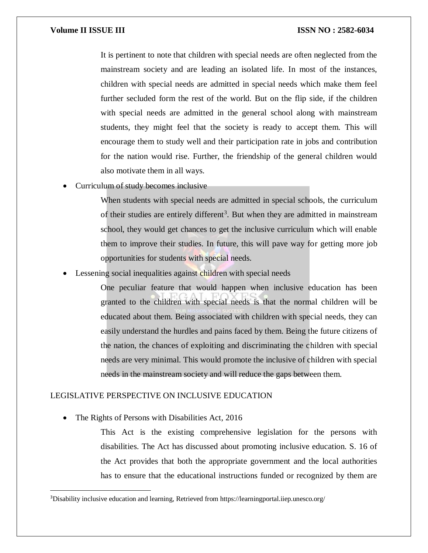### **Volume II ISSUE III III ISSUE III ISSN NO** : 2582-6034

It is pertinent to note that children with special needs are often neglected from the mainstream society and are leading an isolated life. In most of the instances, children with special needs are admitted in special needs which make them feel further secluded form the rest of the world. But on the flip side, if the children with special needs are admitted in the general school along with mainstream students, they might feel that the society is ready to accept them. This will encourage them to study well and their participation rate in jobs and contribution for the nation would rise. Further, the friendship of the general children would also motivate them in all ways.

Curriculum of study becomes inclusive

When students with special needs are admitted in special schools, the curriculum of their studies are entirely different<sup>3</sup>. But when they are admitted in mainstream school, they would get chances to get the inclusive curriculum which will enable them to improve their studies. In future, this will pave way for getting more job opportunities for students with special needs.

Lessening social inequalities against children with special needs

One peculiar feature that would happen when inclusive education has been granted to the children with special needs is that the normal children will be educated about them. Being associated with children with special needs, they can easily understand the hurdles and pains faced by them. Being the future citizens of the nation, the chances of exploiting and discriminating the children with special needs are very minimal. This would promote the inclusive of children with special needs in the mainstream society and will reduce the gaps between them.

## LEGISLATIVE PERSPECTIVE ON INCLUSIVE EDUCATION

• The Rights of Persons with Disabilities Act, 2016

 $\overline{a}$ 

This Act is the existing comprehensive legislation for the persons with disabilities. The Act has discussed about promoting inclusive education. S. 16 of the Act provides that both the appropriate government and the local authorities has to ensure that the educational instructions funded or recognized by them are

<sup>3</sup>Disability inclusive education and learning, Retrieved from https://learningportal.iiep.unesco.org/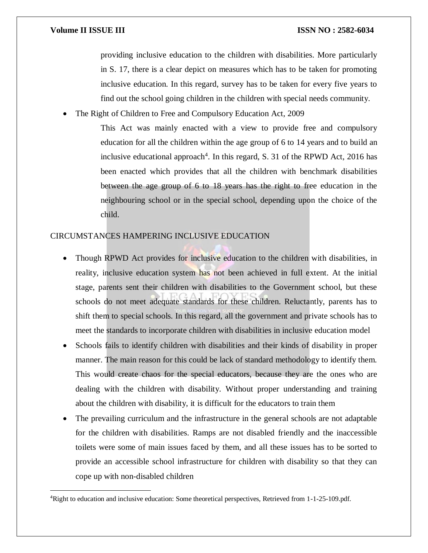$\overline{a}$ 

#### **Volume II ISSUE III ISSUE III ISSN NO** : 2582-6034

providing inclusive education to the children with disabilities. More particularly in S. 17, there is a clear depict on measures which has to be taken for promoting inclusive education. In this regard, survey has to be taken for every five years to find out the school going children in the children with special needs community.

The Right of Children to Free and Compulsory Education Act, 2009

This Act was mainly enacted with a view to provide free and compulsory education for all the children within the age group of 6 to 14 years and to build an inclusive educational approach<sup>4</sup>. In this regard, S. 31 of the RPWD Act, 2016 has been enacted which provides that all the children with benchmark disabilities between the age group of 6 to 18 years has the right to free education in the neighbouring school or in the special school, depending upon the choice of the child.

### CIRCUMSTANCES HAMPERING INCLUSIVE EDUCATION

- Though RPWD Act provides for inclusive education to the children with disabilities, in reality, inclusive education system has not been achieved in full extent. At the initial stage, parents sent their children with disabilities to the Government school, but these schools do not meet adequate standards for these children. Reluctantly, parents has to shift them to special schools. In this regard, all the government and private schools has to meet the standards to incorporate children with disabilities in inclusive education model
- Schools fails to identify children with disabilities and their kinds of disability in proper manner. The main reason for this could be lack of standard methodology to identify them. This would create chaos for the special educators, because they are the ones who are dealing with the children with disability. Without proper understanding and training about the children with disability, it is difficult for the educators to train them
- The prevailing curriculum and the infrastructure in the general schools are not adaptable for the children with disabilities. Ramps are not disabled friendly and the inaccessible toilets were some of main issues faced by them, and all these issues has to be sorted to provide an accessible school infrastructure for children with disability so that they can cope up with non-disabled children

<sup>4</sup>Right to education and inclusive education: Some theoretical perspectives, Retrieved from 1-1-25-109.pdf.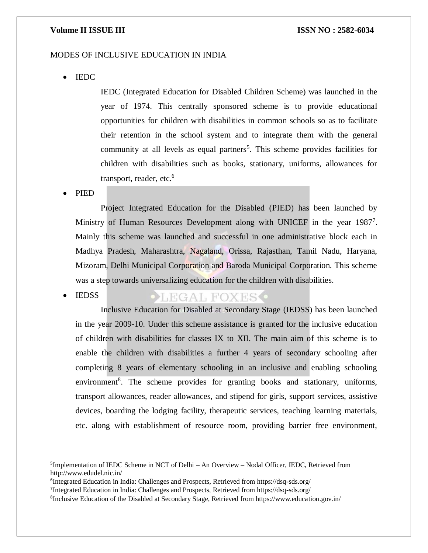#### **Volume II ISSUE III III ISSUE III ISSN NO** : 2582-6034

### MODES OF INCLUSIVE EDUCATION IN INDIA

• IEDC

IEDC (Integrated Education for Disabled Children Scheme) was launched in the year of 1974. This centrally sponsored scheme is to provide educational opportunities for children with disabilities in common schools so as to facilitate their retention in the school system and to integrate them with the general community at all levels as equal partners<sup>5</sup>. This scheme provides facilities for children with disabilities such as books, stationary, uniforms, allowances for transport, reader, etc.<sup>6</sup>

PIED

 $\overline{a}$ 

Project Integrated Education for the Disabled (PIED) has been launched by Ministry of Human Resources Development along with UNICEF in the year 1987<sup>7</sup>. Mainly this scheme was launched and successful in one administrative block each in Madhya Pradesh, Maharashtra, Nagaland, Orissa, Rajasthan, Tamil Nadu, Haryana, Mizoram, Delhi Municipal Corporation and Baroda Municipal Corporation. This scheme was a step towards universalizing education for the children with disabilities.

#### **IEDSS** LEGAL FOXES .

Inclusive Education for Disabled at Secondary Stage (IEDSS) has been launched in the year 2009-10. Under this scheme assistance is granted for the inclusive education of children with disabilities for classes IX to XII. The main aim of this scheme is to enable the children with disabilities a further 4 years of secondary schooling after completing 8 years of elementary schooling in an inclusive and enabling schooling environment<sup>8</sup>. The scheme provides for granting books and stationary, uniforms, transport allowances, reader allowances, and stipend for girls, support services, assistive devices, boarding the lodging facility, therapeutic services, teaching learning materials, etc. along with establishment of resource room, providing barrier free environment,

<sup>&</sup>lt;sup>5</sup>Implementation of IEDC Scheme in NCT of Delhi – An Overview – Nodal Officer, IEDC, Retrieved from http://www.edudel.nic.in/

<sup>&</sup>lt;sup>6</sup>Integrated Education in India: Challenges and Prospects, Retrieved from https://dsq-sds.org/

<sup>&</sup>lt;sup>7</sup>Integrated Education in India: Challenges and Prospects, Retrieved from https://dsq-sds.org/

<sup>&</sup>lt;sup>8</sup>Inclusive Education of the Disabled at Secondary Stage, Retrieved from https://www.education.gov.in/